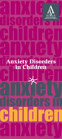

# anxıety **disorders** Children Anxiety Disorders in Children

any Gu

disorders ın

children

anxıety

children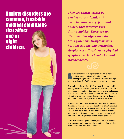## Anxiety disorders are common, treatable medical conditions

that affect one in eight children.

*They are characterized by persistent, irrational, and overwhelming worry, fear, and anxiety that interfere with daily activities. These are real disorders that affect how the brain functions. Symptoms vary but they can include irritability, sleeplessness, jitteriness or physical symptoms such as headaches and stomachaches.* 

In anxiety disorder can prevent your child from<br>making friends, raising a hand in class, or<br>participating in school or social activities. Feelings<br>of being ashamed, afraid, and alone are not uncommon. n anxiety disorder can prevent your child from making friends, raising a hand in class, or **participating in school or social activities. Feelings** 

Research has shown that if left untreated, children with anxiety disorders are at higher risk to perform poorly in school, miss out on important social experiences, and engage in substance abuse. Anxiety disorders also often co-occur with other disorders such as depression, eating disorders, and attention-deficit/hyperactivity disorder (ADHD).

Whether your child has been diagnosed with an anxiety disorder or you are concerned about your child's anxious behavior, the Anxiety Disorders Association of America (ADAA) is here to help. In this booklet you will learn about anxiety disorder symptoms, treatments that work, and how to find a qualified mental health provider.

With treatment and your support, your child can learn how to successfully manage the symptoms of an anxiety disorder and live a normal childhood.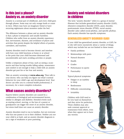## Is this just a phase? Anxiety vs. an anxiety disorder

Anxiety is a normal part of childhood, and every child goes through phases. Some may eat only orange foods or count in twos. Others may have an imaginary friend or have recurring nightmares about monsters under the bed.

The difference between a phase and an anxiety disorder is that a phase is temporary and usually harmless. Children who suffer from an anxiety disorder experience fear, nervousness, shyness, and avoidance of places and activities that persist despite the helpful efforts of parents, caretakers, and teachers.

Anxiety disorders tend to become chronic and interfere with how your child functions at home or at school to the point that your child becomes distressed and uncomfortable and starts avoiding activities or people.

Unlike a temporary phase of fear, such as seeing a scary movie and then having trouble falling asleep, reassurance and comfort is not enough to help a child with an anxiety disorder get past his or her fear and anxiety.

Take an anxiety screening at [www.adaa.org](http://www.adaa.org). Then talk to your doctor, who can help you figure out what's normal behavior for your child's age and development level. Your doctor can refer you to a mental health professional, if necessary, for a more complete evaluation.

## What causes anxiety disorders?

Experts believe anxiety disorders are caused by a combination of biological and environmental factors, similar to allergies and diabetes. Stressful events such as starting school, moving, or the loss of a parent or grandparent can trigger the onset of an anxiety disorder, but stress itself does not cause an anxiety disorder.

Anxiety disorders tend to run in families, but not everyone who has one passes it on to their children. Neither you nor your child is at fault, and an anxiety disorder diagnosis is not a sign of weakness or poor parenting.

## Anxiety and related disorders in children

The term "anxiety disorder" refers to a group of mental illnesses that includes generalized anxiety disorder (GAD), obsessive-compulsive disorder (OCD), panic disorder, posttraumatic stress disorder (PTSD), social anxiety disorder (also called social phobia), and specific phobias. Each anxiety disorder has specific symptoms.

#### Generalized anxiety disorder (GAD)

If your child has generalized anxiety disorder, or GAD, he or she will worry excessively about a variety of things, which may include but are not limited to these issues:

- Family problems
- Relationships with peers
- Natural disasters
- **Health**
- **Grades**
- Performance in sports
- **Punctuality**

#### Typical physical symptoms:

- Fatigue or an inability to sleep
- • Restlessness
- Difficulty concentrating
- **•** Irritability

Children with GAD tend to be very hard on themselves and they strive for perfection. These children may also seek constant approval or reassurance from others, even when they appear not to have any worries.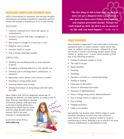#### Obsessive-compulsive disorder (OCD)

OCD is characterized by unwanted and intrusive thoughts (obsessions) and feeling compelled to repeatedly perform rituals and routines (compulsions) to try to ease anxiety.

#### **OBSESSIONS**

- • Constant, irrational worry about dirt, germs, or contamination
- • Excessive concern with order, arrangement, or symmetry
- Fear of harm or danger to a loved one or self
- Religious rules or rituals
- Intrusive words or sounds
- Fear of losing something valuable

#### **COMPULSIONS**

- Washing and rewashing hands to avoid exposure to germs
- Arranging or ordering objects in a very specific way
- Checking and re-checking objects, information, or situations
- Repeating a name, phrase, tune, activity, or prayer
- Hoarding or saving useless items
- Counting objects such as steps
- Seeking reassurance or doing things until they seem just right

Most children with OCD are diagnosed around age 10, although the disorder can strike children as young as two or

three. Boys are more likely to develop OCD before puberty, while girls tend to develop it during adolescence. Research has shown that for teens with the eating disorder anorexia nervosa, OCD is the most common co-existing disorder.

Learn more about OCD at [www.adaa.org](http://www.adaa.org).



*"The first thing we did to help make my OCD go away was get a diagnosis from a psychiatrist. I also spent two hours every Friday doing exposure and response prevention therapy. Therapy has really helped my OCD. My OCD is not in control of my life, and I am much happier."* —Lori, age 12

#### Panic disorder

Panic disorder is diagnosed if your child suffers at least two unexpected panic or anxiety attacks—which means they come on suddenly and for no reason—followed by at least one month of concern over having another attack, losing control, or "going crazy." A panic attack includes at least four of the following symptoms:

- Feeling of imminent danger or doom
- The need to escape
- Rapid heartbeat
- **Sweating**
- **Trembling**
- Shortness of breath or a smothering feeling
- Feeling of choking
- Chest pain or discomfort
- Nausea or abdominal discomfort
- Dizziness or lightheadedness
- Sense of things being unreal, depersonalization
- Fear of losing control or "going crazy"
- Fear of dying
- Tingling sensations
- Chills or hot flushes

Agoraphobia can develop when children begin to avoid situations and places in which they had a previous panic attack or fear they would be unable to escape if experiencing an attack. Refusing to go to school is the most common manifestation of agoraphobia in kids.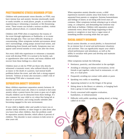#### Posttraumatic stress disorder (PTSD)

Children with posttraumatic stress disorder, or PTSD, may have intense fear and anxiety; become emotionally numb or easily irritable; or avoid places, people, or activities after experiencing or witnessing a traumatic or life-threatening event. These events can include a serious accident, violent assault, physical abuse, or a natural disaster.

Children with PTSD often re-experience the trauma of the event through nightmares or flashbacks, or re-create them through play. They can have difficulty sleeping or concentrating. Other symptoms include nervousness about one's surroundings, acting jumpy around loud noises, and withdrawing from friends and family. Symptoms may not appear until several months or even years after the event.

Not every child who experiences or witnesses a traumatic event will develop PTSD. It is normal to be fearful, sad, or apprehensive after such events, and many children will recover from these feelings in a short time.

Children most at risk for PTSD are those who directly witnessed a traumatic event, who suffered directly (such as injury or the death of a parent), had mental health problems before the event, and who lack a strong support network. Violence at home also increases a child's risk of developing PTSD after a traumatic event.

#### Separation anxiety disorder

Many children experience separation anxiety between 18 months and three years old, when it is normal to feel some anxiety when a parent leaves the room or goes out of sight. Usually children can be distracted from these feelings. It's also common for your child to cry when first being left at daycare or preschool, and crying usually subsides after becoming engaged in the new environment.

If your child is slightly older and unable to leave you or another family member, or takes longer to calm down after you leave than other children, then the problem could be separation anxiety disorder, which affects 4 percent of children. This disorder is most common in kids seven to nine years old.

When separation anxiety disorder occurs, a child experiences excessive anxiety away from home or when separated from parents or caregivers. Extreme homesickness and feelings of misery at not being with loved ones are common. Other symptoms include refusing to go to school, camp, or a sleepover, and demanding that someone stay with them at bedtime. Children with separation anxiety commonly worry about bad things happening to their parents or caregivers or may have a vague sense of something terrible occurring while they are apart.

#### Social anxiety disorder

Social anxiety disorder, or social phobia, is characterized by an intense fear of social and performance situations and activities. This can significantly impair your child's school performance and attendance, as well as the ability to socialize with peers and develop and maintain relationships.

Other symptoms include the following:

- Hesitance, passivity, and discomfort in the spotlight
- Avoiding or refusing to initiate conversations, invite friends to get together, order food in restaurants, or call, text, or e-mail peers
- Frequently avoiding eye contact with adults or peers
- Speaking very softly or mumbling
- Appearing isolated or on the fringes of the group
- Sitting alone in the library or cafeteria, or hanging back from a group in team meetings
- Overly concerned with negative evaluation, humiliation, or embarrassment
- • Difficulty with public speaking, reading aloud, or being called on in class

8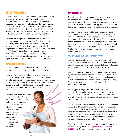#### Selective mutism

Children who refuse to speak in situations where talking is expected or necessary, to the extent that their refusal interferes with school and making friends, may suffer from selective mutism. While children develop selective mutism for a variety of reasons, in most children with the condition, it is thought to be a severe form of social anxiety disorder. But because it can arise for other reasons, technically it is not considered an anxiety disorder.

Children suffering from selective mutism may stand motionless and expressionless, turn their heads, chew or twirl hair, avoid eye contact, or withdraw into a corner to avoid talking. These children can be very talkative and display normal behaviors at home or in another place where they feel comfortable. Parents are sometimes surprised to learn from a teacher that their child refuses to speak at school. The average age of diagnosis is between four and eight years old, or around the time a child enters school.

#### Specific phobias

A specific phobia is the intense, irrational fear of a specific object, such as a dog, or a situation, such as flying.

Fears are common in childhood and often go away. A phobia is diagnosed if the fear persists for at least six months and interferes with a child's daily routine, such as refusing to play outdoors for fear of encountering a dog. Common childhood phobias include animals, storms, heights, water, blood, the dark, and medical procedures.

Children will avoid situations or things that they fear or endure them with anxious feelings, which may show up as crying, tantrums, clinging, avoidance, headaches, and stomachaches. Unlike adults, children do not usually recognize that their fear is irrational.



## **Treatment**

Several scientifically proven and effective treatment options are available for children with anxiety disorders. The two treatments that most help children overcome an anxiety disorder are cognitive-behavioral therapy and medication. Your doctor may recommend one or a combination of treatments.

No one treatment works best for every child; one child may respond better, or sooner, to a particular method than another child with the same diagnosis. That's why it's important to discuss with your doctor or therapist how to decide which treatment works best for your child and family lifestyle. It may take a while to find the best treatment, and your child's response to treatment may change over time. Read on for more information on how to choose a mental health professional.

#### Cognitive-behavioral therapy (CBT)

Cognitive-behavioral therapy, or CBT, is a type of talk therapy that has been scientifically shown to be effective in treating anxiety disorders. CBT teaches skills and techniques to your child that she can use to reduce her anxiety.

Your child will learn to identify and replace negative thinking patterns and behaviors with positive ones. He will also learn to separate realistic from unrealistic thoughts and will receive "homework" to practice what is learned in therapy. These are techniques that your child can use immediately and for years to come.

Your support is important to the success of your child's therapy. The therapist can work with you to ensure progress is made at home and in school, and he or she can give advice on how the entire family can best manage your child's symptoms.

CBT is generally short-term—sessions last about 12 weeks but the benefits are long-term. Check with your insurance provider to see if CBT or therapy is covered and if there is a list of preferred therapists. Some therapists or clinics offer services on a sliding scale, which means that charges fluctuate based on income. Ask about a sliding scale or other payment options when you call or visit for a consultation.

Other forms of therapy may be used to treat children who have an anxiety disorder. Acceptance and commitment therapy, or ACT, uses strategies of acceptance and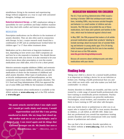mindfulness (living in the moment and experiencing things without judgment) as a way to cope with unwanted thoughts, feelings, and sensations.

Dialectical behavioral therapy, or DBT, emphasizes taking responsibility for one's problems and helps children examine how they deal with conflict and intense negative emotions.

#### **MEDICATION**

Prescription medications can be effective in the treatment of anxiety disorders. They are also often used in conjunction with therapy. In fact, a major research study found that a combination of CBT and an antidepressant worked better for children ages 7 to 17 than either treatment alone.

Medication can be a short-term or long-term treatment option, depending on how severe your child's symptoms are and how he or she responds to treatment. You should discuss this issue more with your doctor. It is also essential to let your doctor know about other prescription or over-the-counter medications your child takes, even if it is for a short period.

Selective serotonin reuptake inhibitors (SSRIs) and serotoninnorepinephrine reuptake inhibitors (SNRIs) are currently the medications of choice for the treatment of childhood and adult anxiety disorders. Other types of medications, such as tricyclic antidepressants and benzodiazepines, are less commonly used to treat children with anxiety disorders. The U.S. Food and Drug Administration (FDA) has approved the use of some SSRIs and SNRIs for the treatment of children.

Updated information about medications is available at the ADAA website at **[www.adaa.org](http://www.adaa.org)** and at the FDA website at [www.fda.gov](http://www.fda.gov).

*"My panic attacks started when I was eight years old. I would get really shaky and sweaty. I would hyperventilate and feel like I was getting smothered to death, like my lungs had closed up. My mother took me to see a psychologist, and it helped a lot. I can travel again and do things that a normal teenager can do. My family has seen a big difference, too.*" —BREANNA, AGE 15

#### medication Warning for children

The U.S. Food and Drug Administration (FDA) issued a warning in October 2004 that antidepressant medications, including SSRIs, may increase suicidal thoughts and behavior in a small number of children and adolescents. The FDA does not prohibit the use of these medications, but it does alert patients and families to the risks, which must be balanced against clinical need.

In May 2007, the FDA proposed that makers of all antidepressant medications update their products' labeling to include warnings about increased risks of suicidal thinking and behavior in young adults ages 18 to 24 during initial treatment (generally the first one to two months). Find out more at the FDA website: [www.fda.gov/cder/drug/antidepressants](http://www.fda.gov/cder/drug/antidepressants)

Discuss all concerns about antidepressants and other medications with your doctor.

## Finding help

Taking your child to a doctor for a mental health problem is as important as visiting a doctor for an ear infection or broken arm. Finding a health professional that you and your child can work with—and who makes you both feel comfortable—is critical.

Anxiety disorders in children are treatable, and they can be treated by a wide range of mental health professionals who have training in scientifically proven treatments. Psychiatrists and nurse practitioners can prescribe medication. Psychologists, social workers, and counselors are more likely to have training in CBT and other talk therapies.

Ask your family doctor or pediatrician to refer you to an expert who is trained to offer CBT or treat anxiety disorders in children, or call ADAA at 240-485-1001. Make sure that any professional you consult has experience treating anxiety disorders and will communicate with your family doctor or pediatrician and school.

You can find a list of anxiety disorder specialists on the ADAA website at [www.adaa.org](http://www.adaa.org); click on *Find a Therapist.*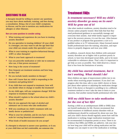#### Questions to ask

A therapist should be willing to answer any questions you may have about methods, training, and fees during a consultation. Bring a list of your child's symptoms to discuss, and be sure to mention any medications for allergies or other illnesses.

Here are some questions to consider asking:

- What training and experience do you have in treating anxiety disorders?
- Do you specialize in treating children? (If your child is a teenager, you may want to ask the age limit that your child can remain under this specialist's care.)
- What is your training in cognitive-behavioral therapy (CBT) or other therapies?
- What is your basic approach to treatment?
- Can you prescribe medication or refer me to someone who can, if that proves necessary?
- How long is the course of treatment?
- How frequent are treatment sessions and how long do they last?
- Do you include family members in therapy?
- How will I know that my child is responding to the treatment and getting better?
- If my child does not respond to treatment, how will you decide when to change or modify the treatment?
- As my child ages, will any symptoms change? Will the response to treatment change?
- What should I explain to the school about my child's anxiety disorder?
- How do you approach the topic of alcohol and substance use in teens who take medication?
- Will you coordinate my child's treatment with our family doctor or pediatrician?
- What is your fee schedule, and do you have a sliding scale for varying financial circumstances?
- What kinds of health insurance do you accept?

If a therapist is reluctant to answer your questions, or if you or your child does not feel comfortable, see someone else.

## Treatment FAQs

#### *Is treatment necessary? Will my child's anxiety disorder go away on its own? Will he grow out of it?*

Like other medical conditions, anxiety disorders tend to be chronic unless properly treated. Most kids find that they need professional guidance to successfully manage and overcome their anxiety. And while family support is important to the recovery process, it is not the cure. (Also beware of any product or program that guarantees a cure or is peddled online or in TV infomercials.) Many licensed mental health professionals have the training, education, and experience to properly diagnose and treat your child.

In addition, research shows that children with untreated anxiety disorders are at higher risk to perform poorly in school, to have less developed social skills, and to be more vulnerable to substance abuse. That's why it's important to get help as soon as possible. Your child deserves a future that is free from the limitations of anxiety.

#### *My child has started treatment, but it isn't working. What should I do?*

Most children see signs of improvement within two to six weeks when receiving proper treatment. If you don't see progress after this time, talk to your child's doctor or therapist about other options or adjusting the medication dosage level. If the doctor or therapist is unwilling to try a different treatment method or won't take the time to listen to your concerns, find another mental health professional who will.

#### *Will my child have to take medication for the rest of her life?*

Starting a child on an antidepressant (SSRI or SNRI) does not foretell medication for life. Doctors recommend that initial treatment of childhood anxiety disorders with an antidepressant should be continued for about one year. You and your child's doctor should regularly assess how well the medication is working; longer medication treatment may be recommended if symptoms persist or recur. There is no evidence that SSRIs and SNRIs are addictive. Ask your doctor how long your child will be taking medication and the changes you can expect to see if the medication is working.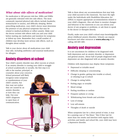#### *What about side effects of medication?*

No medication is 100 percent risk-free. SSRIs and SNRIs are generally tolerated with few side effects. The most commonly reported physical side effects include headache, stomachache or nausea, and difficulty sleeping. Before prescribing medication, your child's doctor must determine the presence of any physical symptoms that may be related to medical problems or reflect anxiety. Make sure the doctor reviews side effects with you and your child before starting any medication and monitors for symptoms at follow-up visits. Remember that a small number of children may develop more serious side effects, such as thoughts about suicide.

Talk to your doctor about all medications your child may take, including antibiotics and seasonal medications for allergies.

## Anxiety disorders at school

Your child's anxiety disorder may affect success at school. If an anxiety disorder is causing your child to struggle at school academically or socially, the first step is to talk to the teacher, principal, or

counselor about your concerns. School personnel will likely recognize some symptoms or manifestations of your child's anxiety, but they may not realize they are caused by an anxiety disorder, or how they can help. Use your child's diagnosis to open lines of communication.

Talk to them about any accommodations that may help your child succeed in the classroom. You have the right under the Individuals with Disabilities Education Act (IDEA) to request appropriate accommodations related to your child's diagnosis. Also ask them to monitor changes and behavior in the classroom so you can inform your doctor of any progress or problems, or ask them to speak to the doctor or therapist directly.

Finally, make sure your child's school stays knowledgeable about childhood anxiety disorders. Schools can request brochures and other resources at [www.adaa.org](http://www.adaa.org) or by calling 240-485-1001.

## Anxiety and depression

It is not uncommon for children to be diagnosed with both depression and an anxiety disorder, or depression and general anxiety. About half of people diagnosed with depression are also diagnosed with an anxiety disorder.

Children with depression may display these symptoms:

- Depressed or irritable mood
- • Difficulty sleeping or concentrating
- Change in grades, getting into trouble at school, or refusing to go to school
- Change in eating habits
- Feeling angry or irritable
- Mood swings
- Feeling worthless or restless
- Frequent sadness or crying
- Withdrawing from friends and activities
- Loss of energy
- Low self-esteem
- Thoughts of death or suicide

When symptoms last for a short period of time, it may be a passing case of "the blues." But if they last for more than two weeks and interfere with regular daily activities and family and school life, your child may have a depressive disorder.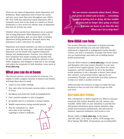There are two types of depression: major depression and dysthymia. Major depression lasts at least two weeks and may occur more than once throughout your child's life. Your child may experience major depression after a traumatic event such as the death of a relative or friend. Dysthymia is a less severe but chronic form of depression that lasts for at least two years.

Children whose parents have depression are at a greater risk of being depressed. While depression affects all ages and both genders, girls are more likely to develop depression during adolescence. Research shows that depression is also a risk factor for suicide.

Depression and anxiety disorders can often be treated the same way and at the same time. Like anxiety disorders, depression can be treated with cognitive-behavioral therapy and antidepressants. However, your child may have symptoms that require treating one disorder first. As with any illness, treatment should be tailored to your child's diagnoses and designed to help him or her manage and reduce the symptoms of both disorders. Learn more at [www.adaa.org](http://www.adaa.org).

## What you can do at home

The recovery process can be stressful for everyone. It is helpful to build a support network of relatives and friends. And keep these ideas in mind:

- Listen to your child's feelings.
- Stay calm when he becomes anxious about a situation or event.
- Recognize and praise her small accomplishments.
- Don't punish mistakes or lack of progress.
- Be flexible and try to maintain a normal routine.
- Modify expectations during stressful periods.
- Plan for transitions (i.e. allow extra time in the morning if getting to school is difficult).



*"My son worries constantly about death, illness, and germs at school and at home … everything related to getting sick or dying. He has trouble sleeping and no longer likes going to school. It breaks my heart to see him like this. What can I do to help him?"*

## How ADAA can help

The Anxiety Disorders Association of America provides resources that will help you and your child better understand a diagnosed or undiagnosed anxiety disorder, connect you with a community of people who know what you are experiencing, and assist you in finding mental health professionals.

Visit the ADAA website at **[www.adaa.org](http://www.adaa.org)** to locate doctors and therapists who treat anxiety disorders in your area, as well as local support groups. Learn about the causes, symptoms, and best treatments for all of the disorders, review questions to ask a therapist or doctor, learn about new research, read personal stories, sign up for our e-newsletter *Triumph*, and find books and other resources to help your child or another loved one.

ADAA provides the resources to help you make the best decisions so that you and your child can get on with your lives.

#### Help ADAA help others.

Your contribution to ADAA supports our efforts to increase awareness that anxiety disorders are real, serious, and treatable. ADAA relies on your donations to provide free educational information about anxiety disorders, help people find treatment professionals, and advocate for research, improved treatments, and access to care.

Donate online at [www.adaa.org](http://www.adaa.org), on the phone (240-485-1001), or by mail to ADAA, 8730 Georgia Ave., Silver Spring, MD 20910. All donations are tax-deductible.